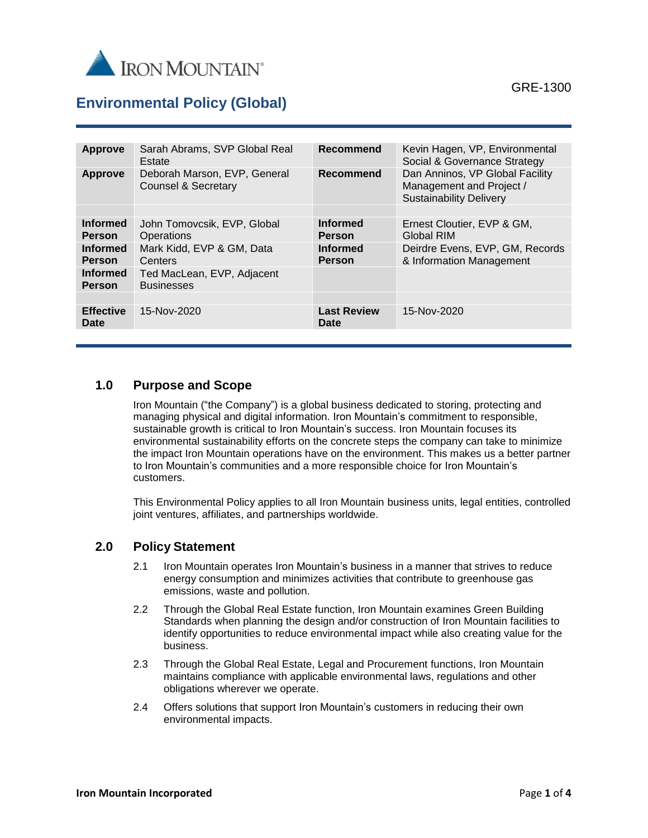

# **Environmental Policy (Global)**

| <b>Approve</b>                   | Sarah Abrams, SVP Global Real<br>Estate             | <b>Recommend</b>                 | Kevin Hagen, VP, Environmental<br>Social & Governance Strategy                                |
|----------------------------------|-----------------------------------------------------|----------------------------------|-----------------------------------------------------------------------------------------------|
| Approve                          | Deborah Marson, EVP, General<br>Counsel & Secretary | Recommend                        | Dan Anninos, VP Global Facility<br>Management and Project /<br><b>Sustainability Delivery</b> |
|                                  |                                                     |                                  |                                                                                               |
| <b>Informed</b><br><b>Person</b> | John Tomovcsik, EVP, Global<br>Operations           | <b>Informed</b><br><b>Person</b> | Ernest Cloutier, EVP & GM,<br>Global RIM                                                      |
| <b>Informed</b><br><b>Person</b> | Mark Kidd, EVP & GM, Data<br>Centers                | <b>Informed</b><br><b>Person</b> | Deirdre Evens, EVP, GM, Records<br>& Information Management                                   |
| <b>Informed</b><br><b>Person</b> | Ted MacLean, EVP, Adjacent<br><b>Businesses</b>     |                                  |                                                                                               |
|                                  |                                                     |                                  |                                                                                               |
| <b>Effective</b><br>Date         | 15-Nov-2020                                         | <b>Last Review</b><br>Date       | 15-Nov-2020                                                                                   |
|                                  |                                                     |                                  |                                                                                               |

### **1.0 Purpose and Scope**

Iron Mountain ("the Company") is a global business dedicated to storing, protecting and managing physical and digital information. Iron Mountain's commitment to responsible, sustainable growth is critical to Iron Mountain's success. Iron Mountain focuses its environmental sustainability efforts on the concrete steps the company can take to minimize the impact Iron Mountain operations have on the environment. This makes us a better partner to Iron Mountain's communities and a more responsible choice for Iron Mountain's customers.

This Environmental Policy applies to all Iron Mountain business units, legal entities, controlled joint ventures, affiliates, and partnerships worldwide.

#### **2.0 Policy Statement**

- 2.1 Iron Mountain operates Iron Mountain's business in a manner that strives to reduce energy consumption and minimizes activities that contribute to greenhouse gas emissions, waste and pollution.
- 2.2 Through the Global Real Estate function, Iron Mountain examines Green Building Standards when planning the design and/or construction of Iron Mountain facilities to identify opportunities to reduce environmental impact while also creating value for the business.
- 2.3 Through the Global Real Estate, Legal and Procurement functions, Iron Mountain maintains compliance with applicable environmental laws, regulations and other obligations wherever we operate.
- 2.4 Offers solutions that support Iron Mountain's customers in reducing their own environmental impacts.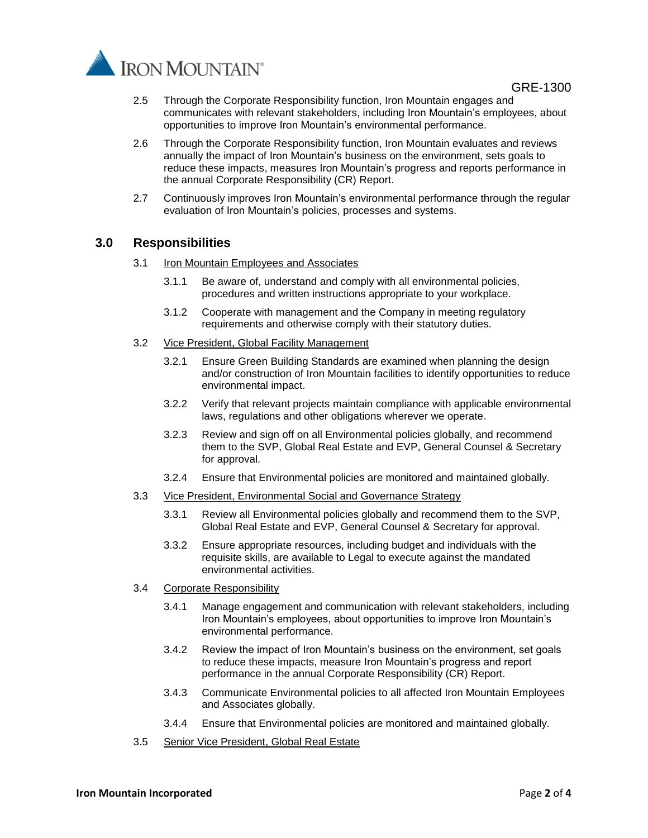



- 2.5 Through the Corporate Responsibility function, Iron Mountain engages and communicates with relevant stakeholders, including Iron Mountain's employees, about opportunities to improve Iron Mountain's environmental performance.
- 2.6 Through the Corporate Responsibility function, Iron Mountain evaluates and reviews annually the impact of Iron Mountain's business on the environment, sets goals to reduce these impacts, measures Iron Mountain's progress and reports performance in the annual Corporate Responsibility (CR) Report.
- 2.7 Continuously improves Iron Mountain's environmental performance through the regular evaluation of Iron Mountain's policies, processes and systems.

#### **3.0 Responsibilities**

- 3.1 Iron Mountain Employees and Associates
	- 3.1.1 Be aware of, understand and comply with all environmental policies, procedures and written instructions appropriate to your workplace.
	- 3.1.2 Cooperate with management and the Company in meeting regulatory requirements and otherwise comply with their statutory duties.
- 3.2 Vice President, Global Facility Management
	- 3.2.1 Ensure Green Building Standards are examined when planning the design and/or construction of Iron Mountain facilities to identify opportunities to reduce environmental impact.
	- 3.2.2 Verify that relevant projects maintain compliance with applicable environmental laws, regulations and other obligations wherever we operate.
	- 3.2.3 Review and sign off on all Environmental policies globally, and recommend them to the SVP, Global Real Estate and EVP, General Counsel & Secretary for approval.
	- 3.2.4 Ensure that Environmental policies are monitored and maintained globally.
- 3.3 Vice President, Environmental Social and Governance Strategy
	- 3.3.1 Review all Environmental policies globally and recommend them to the SVP, Global Real Estate and EVP, General Counsel & Secretary for approval.
	- 3.3.2 Ensure appropriate resources, including budget and individuals with the requisite skills, are available to Legal to execute against the mandated environmental activities.
- 3.4 Corporate Responsibility
	- 3.4.1 Manage engagement and communication with relevant stakeholders, including Iron Mountain's employees, about opportunities to improve Iron Mountain's environmental performance.
	- 3.4.2 Review the impact of Iron Mountain's business on the environment, set goals to reduce these impacts, measure Iron Mountain's progress and report performance in the annual Corporate Responsibility (CR) Report.
	- 3.4.3 Communicate Environmental policies to all affected Iron Mountain Employees and Associates globally.
	- 3.4.4 Ensure that Environmental policies are monitored and maintained globally.
- 3.5 Senior Vice President, Global Real Estate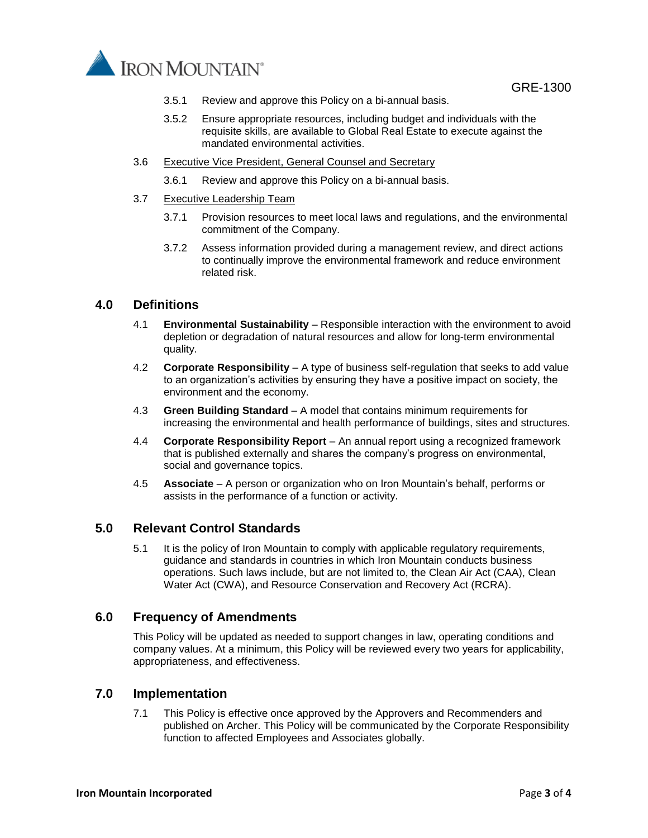

GRE-1300

- 3.5.1 Review and approve this Policy on a bi-annual basis.
- 3.5.2 Ensure appropriate resources, including budget and individuals with the requisite skills, are available to Global Real Estate to execute against the mandated environmental activities.
- 3.6 Executive Vice President, General Counsel and Secretary
	- 3.6.1 Review and approve this Policy on a bi-annual basis.
- 3.7 Executive Leadership Team
	- 3.7.1 Provision resources to meet local laws and regulations, and the environmental commitment of the Company.
	- 3.7.2 Assess information provided during a management review, and direct actions to continually improve the environmental framework and reduce environment related risk.

#### **4.0 Definitions**

- 4.1 **Environmental Sustainability** Responsible interaction with the environment to avoid depletion or degradation of natural resources and allow for long-term environmental quality.
- 4.2 **Corporate Responsibility**  A type of business self-regulation that seeks to add value to an organization's activities by ensuring they have a positive impact on society, the environment and the economy.
- 4.3 **Green Building Standard**  A model that contains minimum requirements for increasing the environmental and health performance of buildings, sites and structures.
- 4.4 **Corporate Responsibility Report**  An annual report using a recognized framework that is published externally and shares the company's progress on environmental, social and governance topics.
- 4.5 **Associate** A person or organization who on Iron Mountain's behalf, performs or assists in the performance of a function or activity.

#### **5.0 Relevant Control Standards**

5.1 It is the policy of Iron Mountain to comply with applicable regulatory requirements, guidance and standards in countries in which Iron Mountain conducts business operations. Such laws include, but are not limited to, the Clean Air Act (CAA), Clean Water Act (CWA), and Resource Conservation and Recovery Act (RCRA).

#### **6.0 Frequency of Amendments**

This Policy will be updated as needed to support changes in law, operating conditions and company values. At a minimum, this Policy will be reviewed every two years for applicability, appropriateness, and effectiveness.

#### **7.0 Implementation**

7.1 This Policy is effective once approved by the Approvers and Recommenders and published on Archer. This Policy will be communicated by the Corporate Responsibility function to affected Employees and Associates globally.